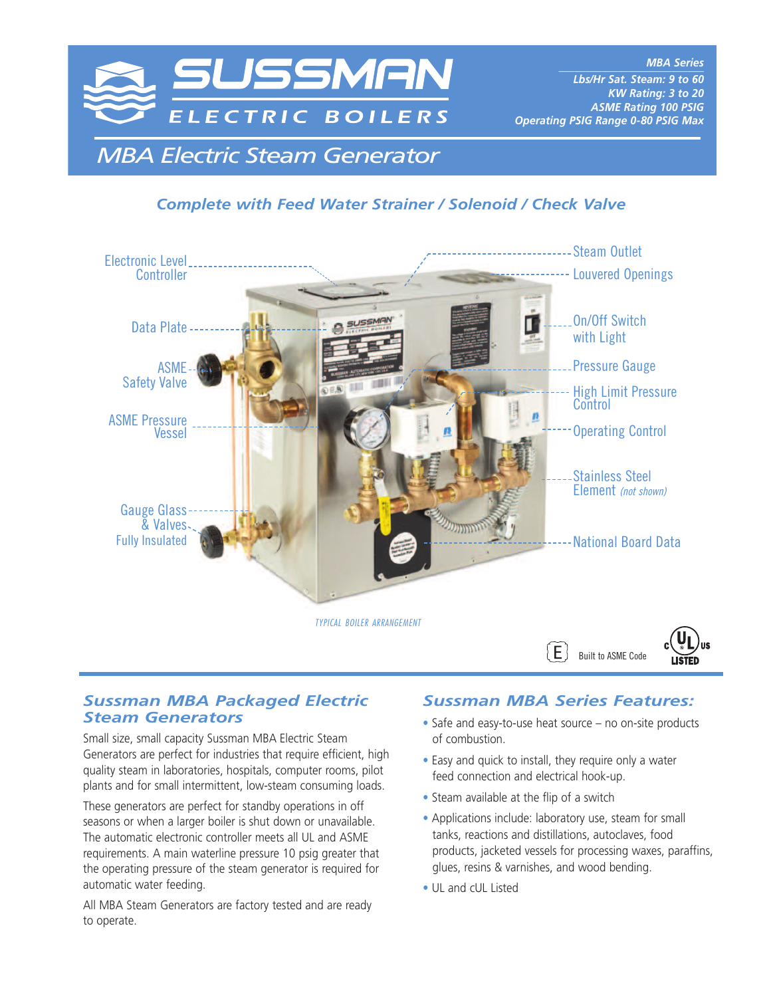

*MBA Electric Steam Generator*

## *Complete with Feed Water Strainer / Solenoid / Check Valve*



#### *Sussman MBA Packaged Electric Steam Generators*

Small size, small capacity Sussman MBA Electric Steam Generators are perfect for industries that require efficient, high quality steam in laboratories, hospitals, computer rooms, pilot plants and for small intermittent, low-steam consuming loads.

These generators are perfect for standby operations in off seasons or when a larger boiler is shut down or unavailable. The automatic electronic controller meets all UL and ASME requirements. A main waterline pressure 10 psig greater that the operating pressure of the steam generator is required for automatic water feeding.

All MBA Steam Generators are factory tested and are ready to operate.

### *Sussman MBA Series Features:*

- **•** Safe and easy-to-use heat source no on-site products of combustion.
- **•** Easy and quick to install, they require only a water feed connection and electrical hook-up.
- **•** Steam available at the flip of a switch
- **•** Applications include: laboratory use, steam for small tanks, reactions and distillations, autoclaves, food products, jacketed vessels for processing waxes, paraffins, glues, resins & varnishes, and wood bending.
- **•** UL and cUL Listed